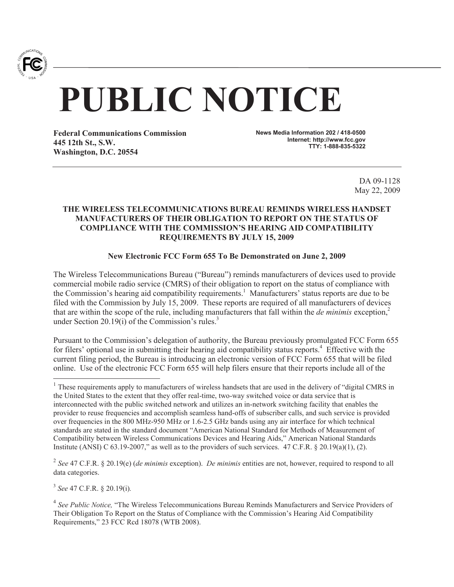

# **PUBLIC NOTICE**

**Federal Communications Commission 445 12th St., S.W. Washington, D.C. 20554**

**News Media Information 202 / 418-0500 Internet: http://www.fcc.gov TTY: 1-888-835-5322**

> DA 09-1128 May 22, 2009

## **THE WIRELESS TELECOMMUNICATIONS BUREAU REMINDS WIRELESS HANDSET MANUFACTURERS OF THEIR OBLIGATION TO REPORT ON THE STATUS OF COMPLIANCE WITH THE COMMISSION'S HEARING AID COMPATIBILITY REQUIREMENTS BY JULY 15, 2009**

## **New Electronic FCC Form 655 To Be Demonstrated on June 2, 2009**

The Wireless Telecommunications Bureau ("Bureau") reminds manufacturers of devices used to provide commercial mobile radio service (CMRS) of their obligation to report on the status of compliance with the Commission's hearing aid compatibility requirements.<sup>1</sup> Manufacturers' status reports are due to be filed with the Commission by July 15, 2009. These reports are required of all manufacturers of devices that are within the scope of the rule, including manufacturers that fall within the *de minimis* exception,<sup>2</sup> under Section 20.19(i) of the Commission's rules. $3$ 

Pursuant to the Commission's delegation of authority, the Bureau previously promulgated FCC Form 655 for filers' optional use in submitting their hearing aid compatibility status reports.<sup>4</sup> Effective with the current filing period, the Bureau is introducing an electronic version of FCC Form 655 that will be filed online. Use of the electronic FCC Form 655 will help filers ensure that their reports include all of the

2 *See* 47 C.F.R. § 20.19(e) (*de minimis* exception). *De minimis* entities are not, however, required to respond to all data categories.

3 *See* 47 C.F.R. § 20.19(i)*.*

 $<sup>1</sup>$  These requirements apply to manufacturers of wireless handsets that are used in the delivery of "digital CMRS in</sup> the United States to the extent that they offer real-time, two-way switched voice or data service that is interconnected with the public switched network and utilizes an in-network switching facility that enables the provider to reuse frequencies and accomplish seamless hand-offs of subscriber calls, and such service is provided over frequencies in the 800 MHz-950 MHz or 1.6-2.5 GHz bands using any air interface for which technical standards are stated in the standard document "American National Standard for Methods of Measurement of Compatibility between Wireless Communications Devices and Hearing Aids," American National Standards Institute (ANSI) C 63.19-2007," as well as to the providers of such services.  $47 \text{ C.F.R.}$  §  $20.19(a)(1), (2)$ .

<sup>&</sup>lt;sup>4</sup> See Public Notice, "The Wireless Telecommunications Bureau Reminds Manufacturers and Service Providers of Their Obligation To Report on the Status of Compliance with the Commission's Hearing Aid Compatibility Requirements," 23 FCC Rcd 18078 (WTB 2008).